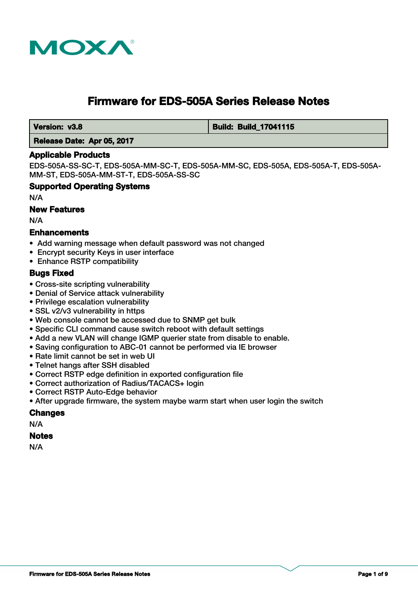

# **Firmware for EDS-505A Series Release Notes**

 **Version: v3.8 Build: Build: Build: Build: 17041115** 

#### **Release Date: Apr 05, 2017**

#### **Applicable Products**

EDS-505A-SS-SC-T, EDS-505A-MM-SC-T, EDS-505A-MM-SC, EDS-505A, EDS-505A-T, EDS-505A-MM-ST, EDS-505A-MM-ST-T, EDS-505A-SS-SC

#### **Supported Operating Systems**

N/A

#### **New Features**

N/A

#### **Enhancements**

- Add warning message when default password was not changed
- Encrypt security Keys in user interface
- Enhance RSTP compatibility

#### **Bugs Fixed**

- Cross-site scripting vulnerability
- Denial of Service attack vulnerability
- Privilege escalation vulnerability
- SSL v2/v3 vulnerability in https
- Web console cannot be accessed due to SNMP get bulk
- Specific CLI command cause switch reboot with default settings
- Add a new VLAN will change IGMP querier state from disable to enable.
- Saving configuration to ABC-01 cannot be performed via IE browser
- Rate limit cannot be set in web UI
- Telnet hangs after SSH disabled
- Correct RSTP edge definition in exported configuration file
- Correct authorization of Radius/TACACS+ login
- Correct RSTP Auto-Edge behavior
- After upgrade firmware, the system maybe warm start when user login the switch

#### **Changes**

N/A

# **Notes**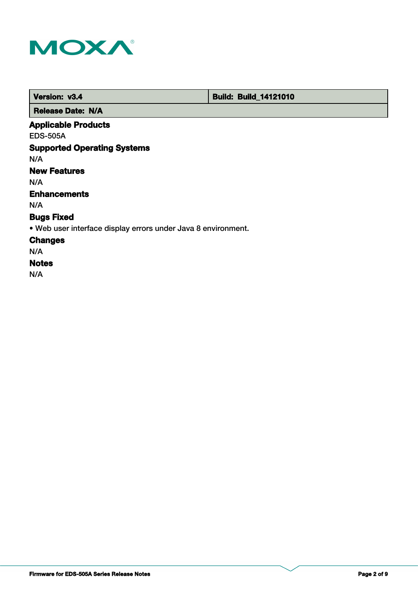

 **Version: v3.4 Build: Build: Build: 14121010** 

 **Release Date: N/A**

# **Applicable Products**

EDS-505A

# **Supported Operating Systems**

N/A

# **New Features**

N/A

# **Enhancements**

N/A

# **Bugs Fixed**

• Web user interface display errors under Java 8 environment.

### **Changes**

N/A

# **Notes**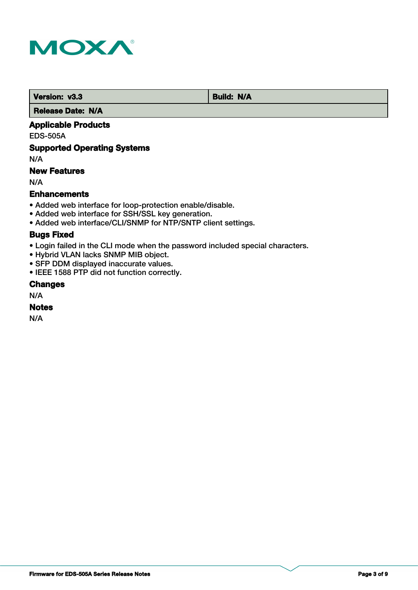

**Version: v3.3 Build: N/A** 

 **Release Date: N/A**

### **Applicable Products**

EDS-505A

### **Supported Operating Systems**

N/A

### **New Features**

N/A

### **Enhancements**

- Added web interface for loop-protection enable/disable.
- Added web interface for SSH/SSL key generation.
- Added web interface/CLI/SNMP for NTP/SNTP client settings.

#### **Bugs Fixed**

- Login failed in the CLI mode when the password included special characters.
- Hybrid VLAN lacks SNMP MIB object.
- SFP DDM displayed inaccurate values.
- IEEE 1588 PTP did not function correctly.

### **Changes**

N/A

#### **Notes**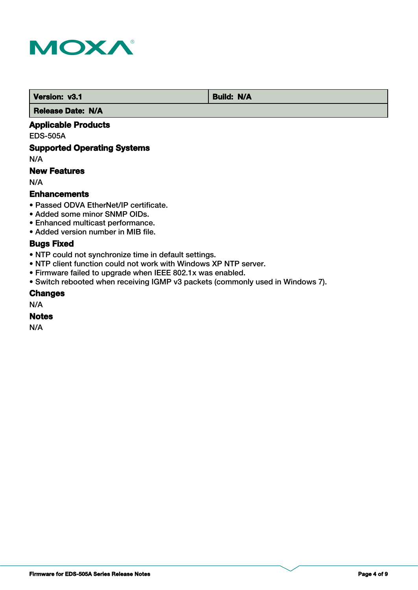

*Version: v3.1* **Build: N/A** 

 **Release Date: N/A**

### **Applicable Products**

EDS-505A

### **Supported Operating Systems**

N/A

### **New Features**

N/A

#### **Enhancements**

- Passed ODVA EtherNet/IP certificate.
- Added some minor SNMP OIDs.
- Enhanced multicast performance.
- Added version number in MIB file.

# **Bugs Fixed**

- NTP could not synchronize time in default settings.
- NTP client function could not work with Windows XP NTP server.
- Firmware failed to upgrade when IEEE 802.1x was enabled.
- Switch rebooted when receiving IGMP v3 packets (commonly used in Windows 7).

#### **Changes**

N/A

#### **Notes**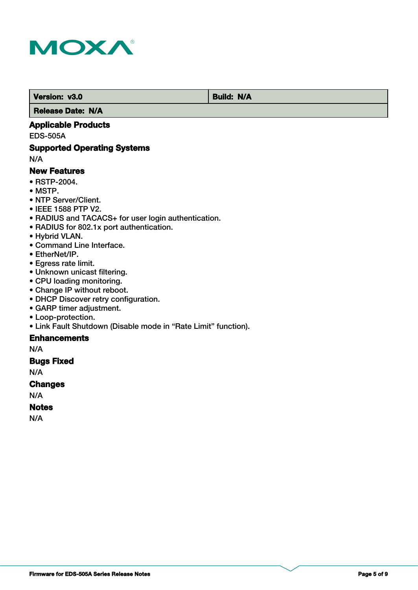

 **Version: v3.0 Build: N/A** 

 **Release Date: N/A**

### **Applicable Products**

EDS-505A

### **Supported Operating Systems**

N/A

#### **New Features**

- RSTP-2004.
- MSTP.
- NTP Server/Client.
- IEEE 1588 PTP V2.
- RADIUS and TACACS+ for user login authentication.
- RADIUS for 802.1x port authentication.
- Hybrid VLAN.
- Command Line Interface.
- EtherNet/IP.
- Egress rate limit.
- Unknown unicast filtering.
- CPU loading monitoring.
- Change IP without reboot.
- DHCP Discover retry configuration.
- GARP timer adjustment.
- Loop-protection.
- Link Fault Shutdown (Disable mode in "Rate Limit" function).

### **Enhancements**

N/A

### **Bugs Fixed**

N/A

#### **Changes**

N/A

### **Notes**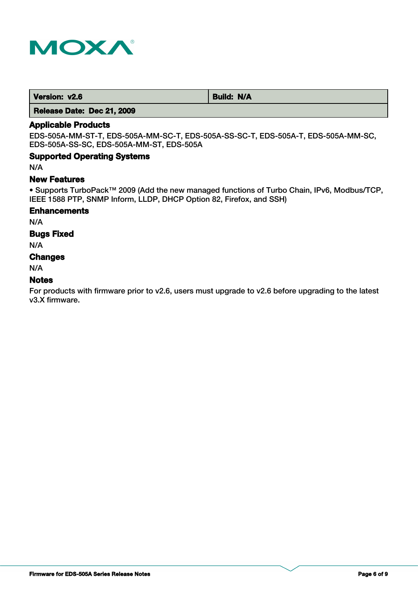

| Version: v2.6<br><b>Build: N/A</b> |
|------------------------------------|
|------------------------------------|

 **Release Date: Dec 21, 2009**

### **Applicable Products**

EDS-505A-MM-ST-T, EDS-505A-MM-SC-T, EDS-505A-SS-SC-T, EDS-505A-T, EDS-505A-MM-SC, EDS-505A-SS-SC, EDS-505A-MM-ST, EDS-505A

#### **Supported Operating Systems**

N/A

#### **New Features**

• Supports TurboPack™ 2009 (Add the new managed functions of Turbo Chain, IPv6, Modbus/TCP, IEEE 1588 PTP, SNMP Inform, LLDP, DHCP Option 82, Firefox, and SSH)

#### **Enhancements**

N/A

#### **Bugs Fixed**

N/A

#### **Changes**

N/A

#### **Notes**

For products with firmware prior to v2.6, users must upgrade to v2.6 before upgrading to the latest v3.X firmware.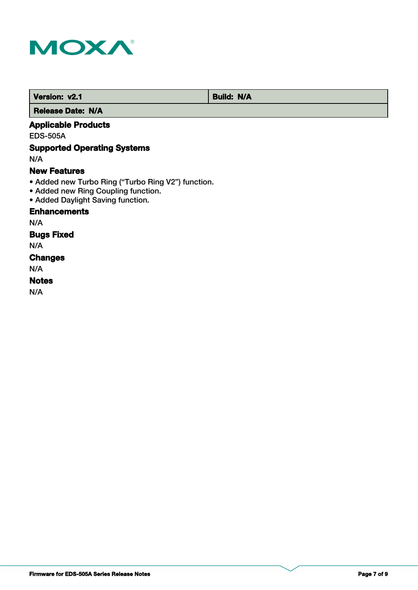

 **Version: v2.1 Build: N/A** 

 **Release Date: N/A**

# **Applicable Products**

EDS-505A

# **Supported Operating Systems**

N/A

#### **New Features**

- Added new Turbo Ring ("Turbo Ring V2") function.
- Added new Ring Coupling function.
- Added Daylight Saving function.

## **Enhancements**

N/A

### **Bugs Fixed**

N/A

# **Changes**

N/A

# **Notes**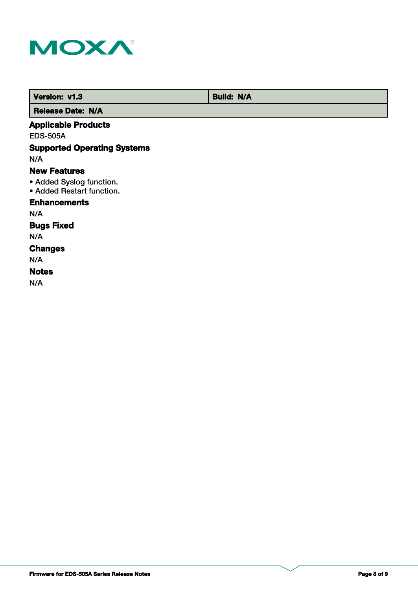

 **Version: v1.3 Build: N/A** 

 **Release Date: N/A**

# **Applicable Products**

EDS-505A

# **Supported Operating Systems**

N/A

#### **New Features**

- Added Syslog function.
- Added Restart function.

### **Enhancements**

N/A

# **Bugs Fixed**

N/A

#### **Changes**

N/A

#### **Notes**